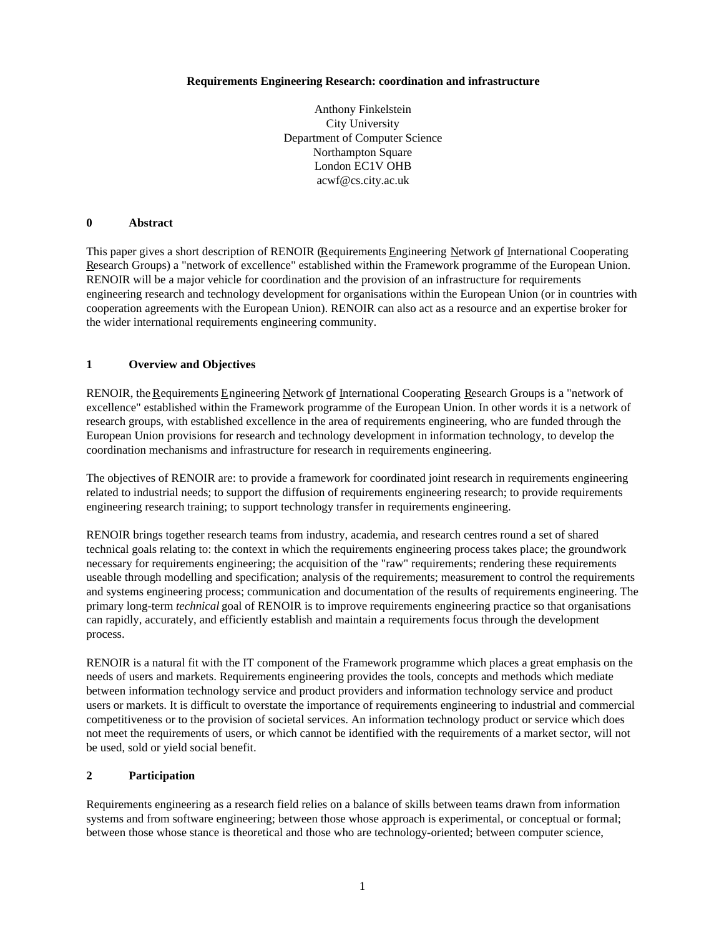### **Requirements Engineering Research: coordination and infrastructure**

Anthony Finkelstein City University Department of Computer Science Northampton Square London EC1V OHB acwf@cs.city.ac.uk

## **0 Abstract**

This paper gives a short description of RENOIR (Requirements Engineering Network of International Cooperating Research Groups) a "network of excellence" established within the Framework programme of the European Union. RENOIR will be a major vehicle for coordination and the provision of an infrastructure for requirements engineering research and technology development for organisations within the European Union (or in countries with cooperation agreements with the European Union). RENOIR can also act as a resource and an expertise broker for the wider international requirements engineering community.

## **1 Overview and Objectives**

RENOIR, the Requirements Engineering Network of International Cooperating Research Groups is a "network of excellence" established within the Framework programme of the European Union. In other words it is a network of research groups, with established excellence in the area of requirements engineering, who are funded through the European Union provisions for research and technology development in information technology, to develop the coordination mechanisms and infrastructure for research in requirements engineering.

The objectives of RENOIR are: to provide a framework for coordinated joint research in requirements engineering related to industrial needs; to support the diffusion of requirements engineering research; to provide requirements engineering research training; to support technology transfer in requirements engineering.

RENOIR brings together research teams from industry, academia, and research centres round a set of shared technical goals relating to: the context in which the requirements engineering process takes place; the groundwork necessary for requirements engineering; the acquisition of the "raw" requirements; rendering these requirements useable through modelling and specification; analysis of the requirements; measurement to control the requirements and systems engineering process; communication and documentation of the results of requirements engineering. The primary long-term *technical* goal of RENOIR is to improve requirements engineering practice so that organisations can rapidly, accurately, and efficiently establish and maintain a requirements focus through the development process.

RENOIR is a natural fit with the IT component of the Framework programme which places a great emphasis on the needs of users and markets. Requirements engineering provides the tools, concepts and methods which mediate between information technology service and product providers and information technology service and product users or markets. It is difficult to overstate the importance of requirements engineering to industrial and commercial competitiveness or to the provision of societal services. An information technology product or service which does not meet the requirements of users, or which cannot be identified with the requirements of a market sector, will not be used, sold or yield social benefit.

## **2 Participation**

Requirements engineering as a research field relies on a balance of skills between teams drawn from information systems and from software engineering; between those whose approach is experimental, or conceptual or formal; between those whose stance is theoretical and those who are technology-oriented; between computer science,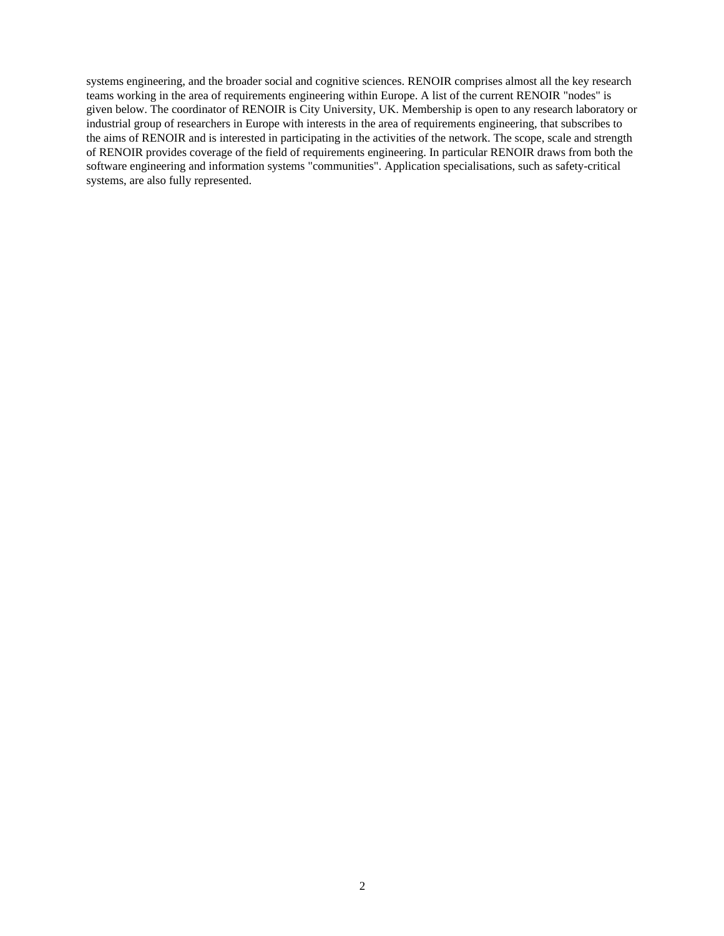systems engineering, and the broader social and cognitive sciences. RENOIR comprises almost all the key research teams working in the area of requirements engineering within Europe. A list of the current RENOIR "nodes" is given below. The coordinator of RENOIR is City University, UK. Membership is open to any research laboratory or industrial group of researchers in Europe with interests in the area of requirements engineering, that subscribes to the aims of RENOIR and is interested in participating in the activities of the network. The scope, scale and strength of RENOIR provides coverage of the field of requirements engineering. In particular RENOIR draws from both the software engineering and information systems "communities". Application specialisations, such as safety-critical systems, are also fully represented.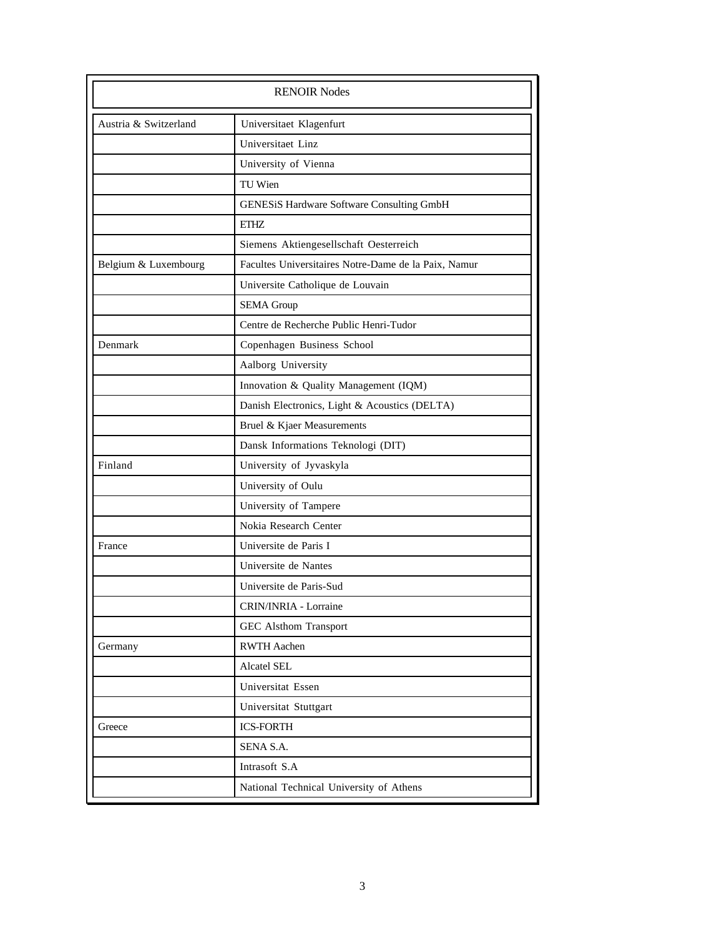| Austria & Switzerland | Universitaet Klagenfurt                              |
|-----------------------|------------------------------------------------------|
|                       | Universitaet Linz                                    |
|                       | University of Vienna                                 |
|                       | TU Wien                                              |
|                       | GENESiS Hardware Software Consulting GmbH            |
| <b>ETHZ</b>           |                                                      |
|                       | Siemens Aktiengesellschaft Oesterreich               |
| Belgium & Luxembourg  | Facultes Universitaires Notre-Dame de la Paix, Namur |
|                       | Universite Catholique de Louvain                     |
|                       | <b>SEMA Group</b>                                    |
|                       | Centre de Recherche Public Henri-Tudor               |
| Denmark               | Copenhagen Business School                           |
|                       | Aalborg University                                   |
|                       | Innovation & Quality Management (IQM)                |
|                       | Danish Electronics, Light & Acoustics (DELTA)        |
|                       | Bruel & Kjaer Measurements                           |
|                       | Dansk Informations Teknologi (DIT)                   |
| Finland               | University of Jyvaskyla                              |
|                       | University of Oulu                                   |
|                       | University of Tampere                                |
|                       | Nokia Research Center                                |
| France                | Universite de Paris I                                |
|                       | Universite de Nantes                                 |
|                       | Universite de Paris-Sud                              |
|                       | CRIN/INRIA - Lorraine                                |
|                       | GEC Alsthom Transport                                |
| Germany               | <b>RWTH Aachen</b>                                   |
|                       | <b>Alcatel SEL</b>                                   |
|                       | Universitat Essen                                    |
|                       | Universitat Stuttgart                                |
| Greece                | <b>ICS-FORTH</b>                                     |
|                       | SENA S.A.                                            |
|                       | Intrasoft S.A                                        |
|                       | National Technical University of Athens              |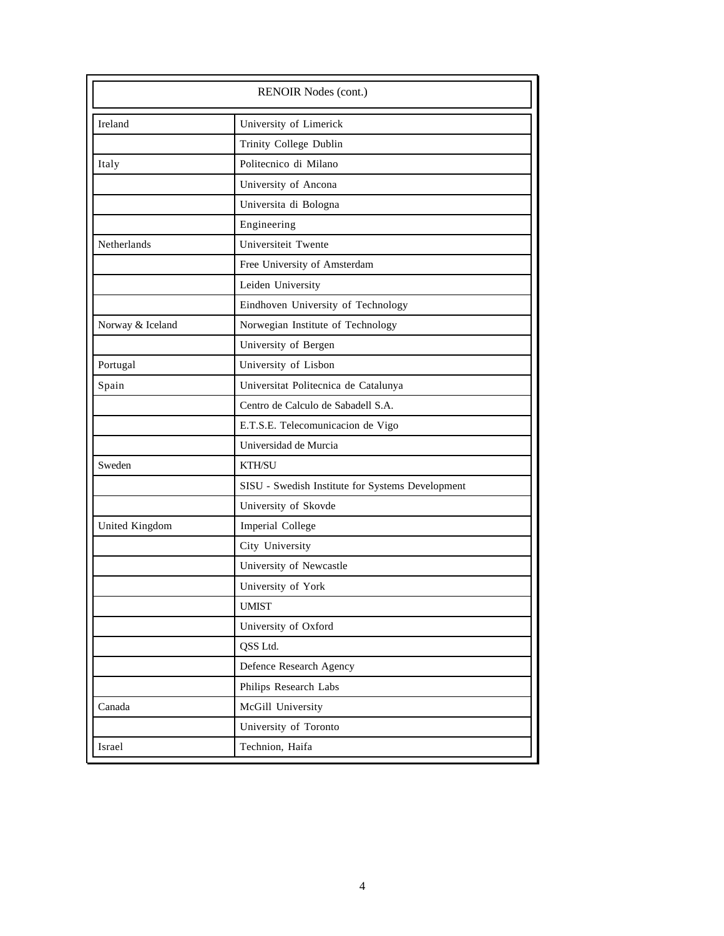| RENOIR Nodes (cont.) |                                                  |
|----------------------|--------------------------------------------------|
| Ireland              | University of Limerick                           |
|                      | Trinity College Dublin                           |
| Italy                | Politecnico di Milano                            |
|                      | University of Ancona                             |
|                      | Universita di Bologna                            |
|                      | Engineering                                      |
| Netherlands          | Universiteit Twente                              |
|                      | Free University of Amsterdam                     |
|                      | Leiden University                                |
|                      | Eindhoven University of Technology               |
| Norway & Iceland     | Norwegian Institute of Technology                |
|                      | University of Bergen                             |
| Portugal             | University of Lisbon                             |
| Spain                | Universitat Politecnica de Catalunya             |
|                      | Centro de Calculo de Sabadell S.A.               |
|                      | E.T.S.E. Telecomunicacion de Vigo                |
|                      | Universidad de Murcia                            |
| Sweden               | <b>KTH/SU</b>                                    |
|                      | SISU - Swedish Institute for Systems Development |
|                      | University of Skovde                             |
| United Kingdom       | Imperial College                                 |
|                      | City University                                  |
|                      | University of Newcastle                          |
|                      | University of York                               |
|                      | <b>UMIST</b>                                     |
|                      | University of Oxford                             |
|                      | QSS Ltd.                                         |
|                      | Defence Research Agency                          |
|                      | Philips Research Labs                            |
| Canada               | McGill University                                |
|                      | University of Toronto                            |
| Israel               | Technion, Haifa                                  |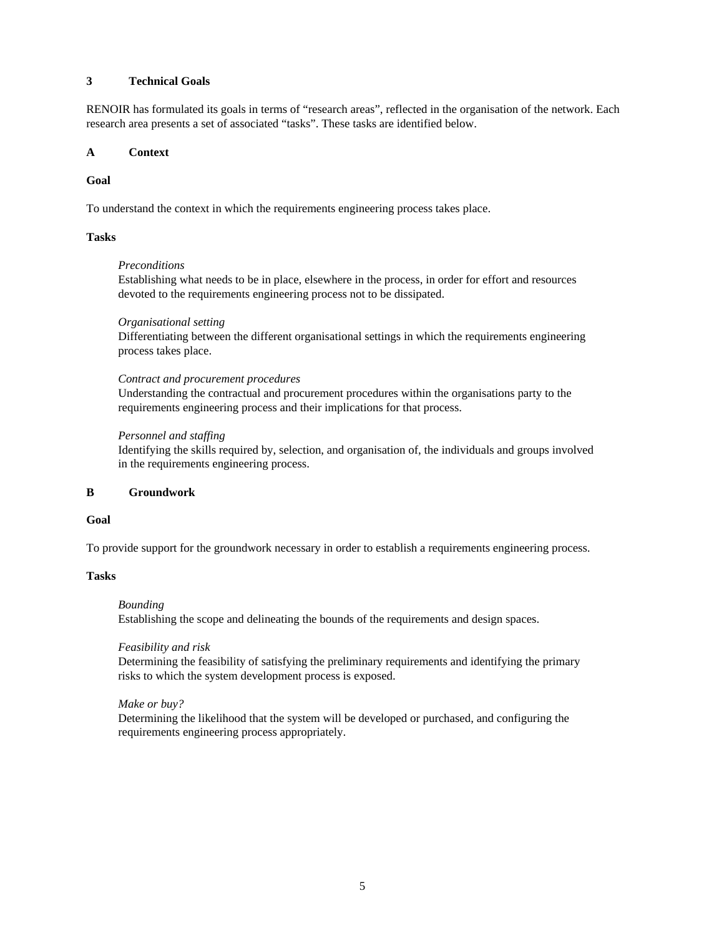### **3 Technical Goals**

RENOIR has formulated its goals in terms of "research areas", reflected in the organisation of the network. Each research area presents a set of associated "tasks". These tasks are identified below.

#### **A Context**

### **Goal**

To understand the context in which the requirements engineering process takes place.

### **Tasks**

### *Preconditions*

Establishing what needs to be in place, elsewhere in the process, in order for effort and resources devoted to the requirements engineering process not to be dissipated.

### *Organisational setting*

Differentiating between the different organisational settings in which the requirements engineering process takes place.

### *Contract and procurement procedures*

Understanding the contractual and procurement procedures within the organisations party to the requirements engineering process and their implications for that process.

### *Personnel and staffing*

Identifying the skills required by, selection, and organisation of, the individuals and groups involved in the requirements engineering process.

### **B Groundwork**

### **Goal**

To provide support for the groundwork necessary in order to establish a requirements engineering process.

## **Tasks**

#### *Bounding*

Establishing the scope and delineating the bounds of the requirements and design spaces.

#### *Feasibility and risk*

Determining the feasibility of satisfying the preliminary requirements and identifying the primary risks to which the system development process is exposed.

#### *Make or buy?*

Determining the likelihood that the system will be developed or purchased, and configuring the requirements engineering process appropriately.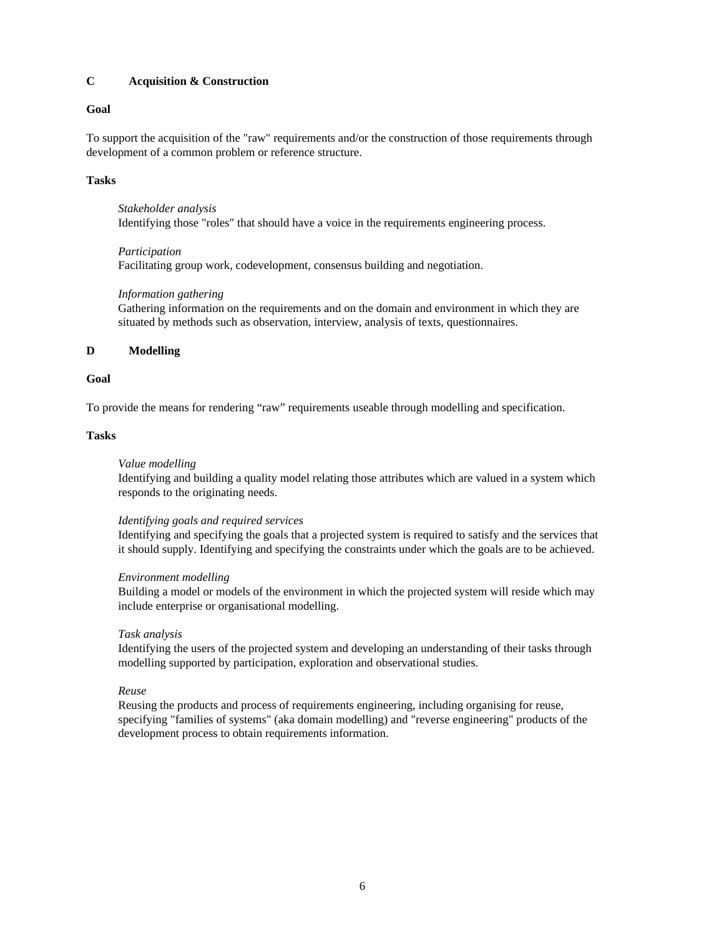# **C Acquisition & Construction**

## **Goal**

To support the acquisition of the "raw" requirements and/or the construction of those requirements through development of a common problem or reference structure.

## **Tasks**

*Stakeholder analysis* Identifying those "roles" that should have a voice in the requirements engineering process.

## *Participation*

Facilitating group work, codevelopment, consensus building and negotiation.

## *Information gathering*

Gathering information on the requirements and on the domain and environment in which they are situated by methods such as observation, interview, analysis of texts, questionnaires.

# **D Modelling**

## **Goal**

To provide the means for rendering "raw" requirements useable through modelling and specification.

## **Tasks**

## *Value modelling*

Identifying and building a quality model relating those attributes which are valued in a system which responds to the originating needs.

## *Identifying goals and required services*

Identifying and specifying the goals that a projected system is required to satisfy and the services that it should supply. Identifying and specifying the constraints under which the goals are to be achieved.

## *Environment modelling*

Building a model or models of the environment in which the projected system will reside which may include enterprise or organisational modelling.

## *Task analysis*

Identifying the users of the projected system and developing an understanding of their tasks through modelling supported by participation, exploration and observational studies.

## *Reuse*

Reusing the products and process of requirements engineering, including organising for reuse, specifying "families of systems" (aka domain modelling) and "reverse engineering" products of the development process to obtain requirements information.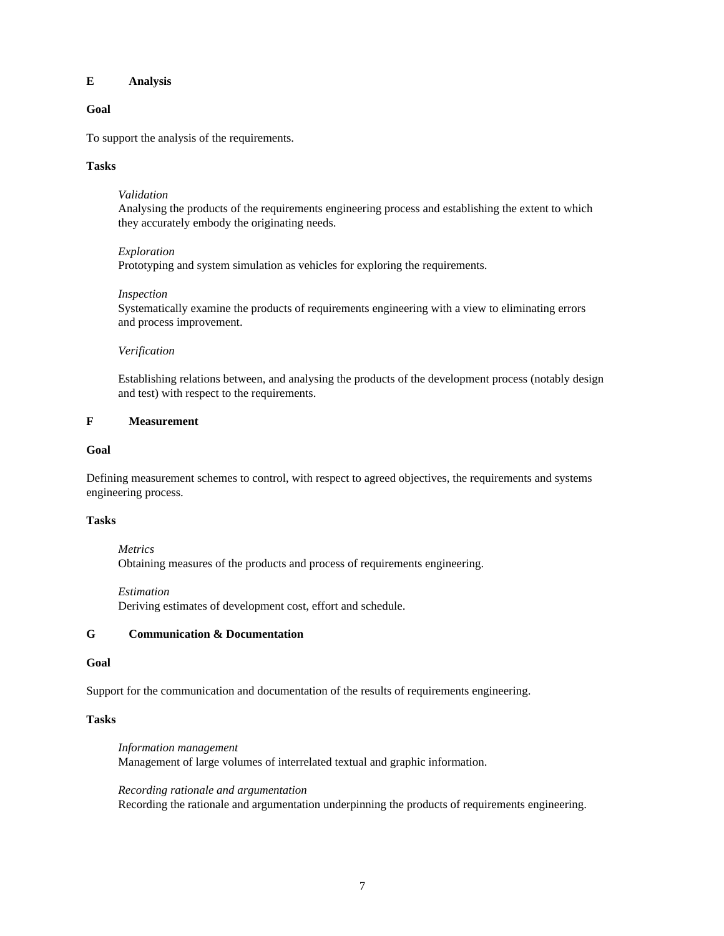### **E Analysis**

### **Goal**

To support the analysis of the requirements.

### **Tasks**

#### *Validation*

Analysing the products of the requirements engineering process and establishing the extent to which they accurately embody the originating needs.

### *Exploration*

Prototyping and system simulation as vehicles for exploring the requirements.

### *Inspection*

Systematically examine the products of requirements engineering with a view to eliminating errors and process improvement.

### *Verification*

Establishing relations between, and analysing the products of the development process (notably design and test) with respect to the requirements.

### **F Measurement**

#### **Goal**

Defining measurement schemes to control, with respect to agreed objectives, the requirements and systems engineering process.

### **Tasks**

*Metrics* Obtaining measures of the products and process of requirements engineering.

#### *Estimation*

Deriving estimates of development cost, effort and schedule.

## **G Communication & Documentation**

#### **Goal**

Support for the communication and documentation of the results of requirements engineering.

### **Tasks**

*Information management* Management of large volumes of interrelated textual and graphic information.

#### *Recording rationale and argumentation*

Recording the rationale and argumentation underpinning the products of requirements engineering.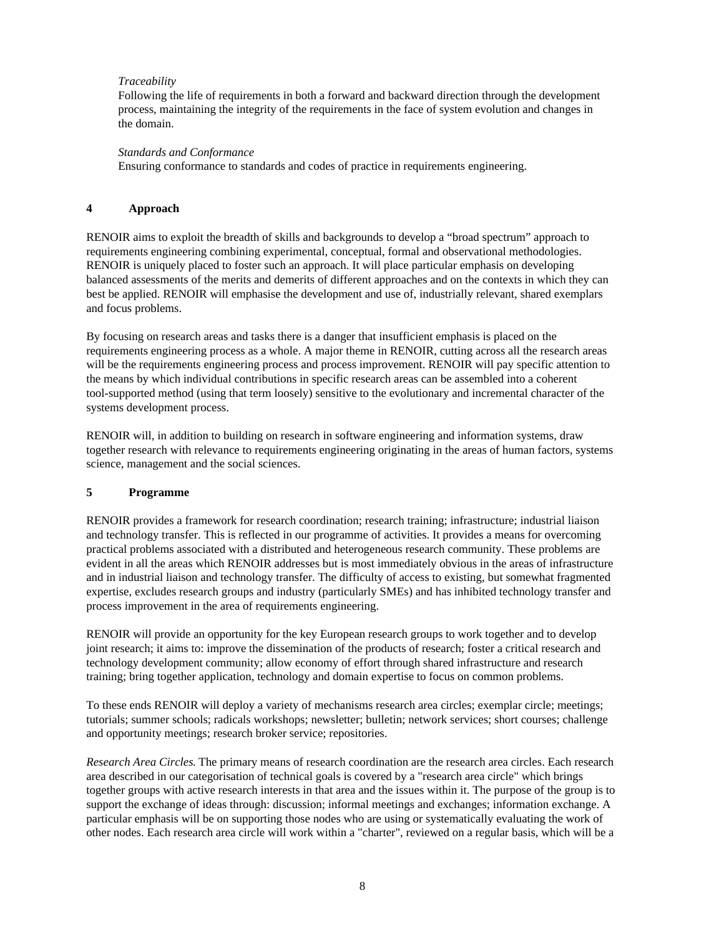# *Traceability*

Following the life of requirements in both a forward and backward direction through the development process, maintaining the integrity of the requirements in the face of system evolution and changes in the domain.

### *Standards and Conformance*

Ensuring conformance to standards and codes of practice in requirements engineering.

### **4 Approach**

RENOIR aims to exploit the breadth of skills and backgrounds to develop a "broad spectrum" approach to requirements engineering combining experimental, conceptual, formal and observational methodologies. RENOIR is uniquely placed to foster such an approach. It will place particular emphasis on developing balanced assessments of the merits and demerits of different approaches and on the contexts in which they can best be applied. RENOIR will emphasise the development and use of, industrially relevant, shared exemplars and focus problems.

By focusing on research areas and tasks there is a danger that insufficient emphasis is placed on the requirements engineering process as a whole. A major theme in RENOIR, cutting across all the research areas will be the requirements engineering process and process improvement. RENOIR will pay specific attention to the means by which individual contributions in specific research areas can be assembled into a coherent tool-supported method (using that term loosely) sensitive to the evolutionary and incremental character of the systems development process.

RENOIR will, in addition to building on research in software engineering and information systems, draw together research with relevance to requirements engineering originating in the areas of human factors, systems science, management and the social sciences.

## **5 Programme**

RENOIR provides a framework for research coordination; research training; infrastructure; industrial liaison and technology transfer. This is reflected in our programme of activities. It provides a means for overcoming practical problems associated with a distributed and heterogeneous research community. These problems are evident in all the areas which RENOIR addresses but is most immediately obvious in the areas of infrastructure and in industrial liaison and technology transfer. The difficulty of access to existing, but somewhat fragmented expertise, excludes research groups and industry (particularly SMEs) and has inhibited technology transfer and process improvement in the area of requirements engineering.

RENOIR will provide an opportunity for the key European research groups to work together and to develop joint research; it aims to: improve the dissemination of the products of research; foster a critical research and technology development community; allow economy of effort through shared infrastructure and research training; bring together application, technology and domain expertise to focus on common problems.

To these ends RENOIR will deploy a variety of mechanisms research area circles; exemplar circle; meetings; tutorials; summer schools; radicals workshops; newsletter; bulletin; network services; short courses; challenge and opportunity meetings; research broker service; repositories.

*Research Area Circles.* The primary means of research coordination are the research area circles. Each research area described in our categorisation of technical goals is covered by a "research area circle" which brings together groups with active research interests in that area and the issues within it. The purpose of the group is to support the exchange of ideas through: discussion; informal meetings and exchanges; information exchange. A particular emphasis will be on supporting those nodes who are using or systematically evaluating the work of other nodes. Each research area circle will work within a "charter", reviewed on a regular basis, which will be a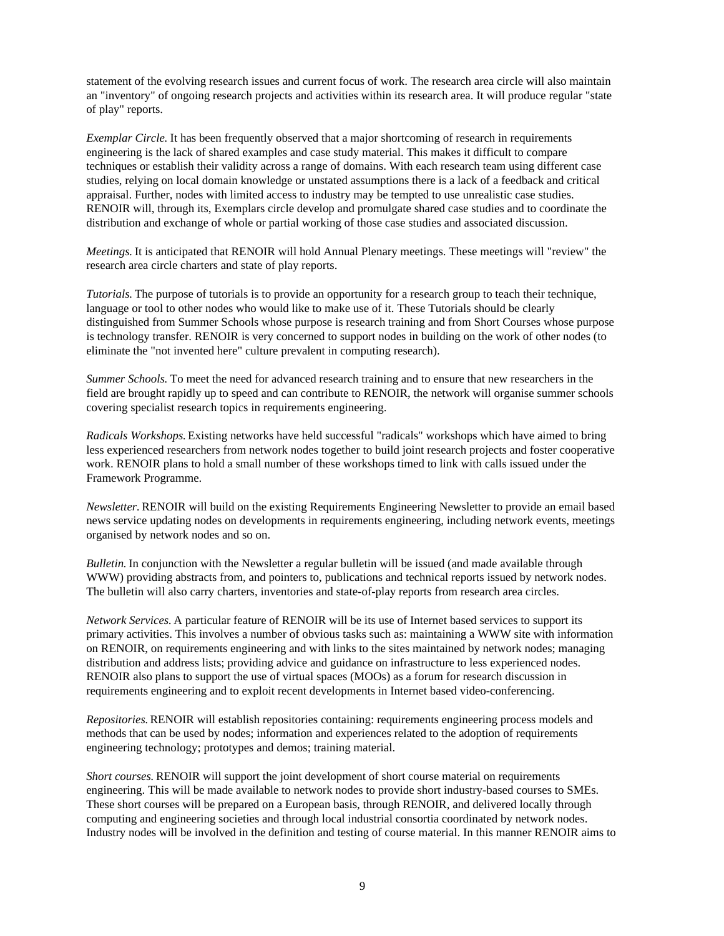statement of the evolving research issues and current focus of work. The research area circle will also maintain an "inventory" of ongoing research projects and activities within its research area. It will produce regular "state of play" reports.

*Exemplar Circle.* It has been frequently observed that a major shortcoming of research in requirements engineering is the lack of shared examples and case study material. This makes it difficult to compare techniques or establish their validity across a range of domains. With each research team using different case studies, relying on local domain knowledge or unstated assumptions there is a lack of a feedback and critical appraisal. Further, nodes with limited access to industry may be tempted to use unrealistic case studies. RENOIR will, through its, Exemplars circle develop and promulgate shared case studies and to coordinate the distribution and exchange of whole or partial working of those case studies and associated discussion.

*Meetings.* It is anticipated that RENOIR will hold Annual Plenary meetings. These meetings will "review" the research area circle charters and state of play reports.

*Tutorials.* The purpose of tutorials is to provide an opportunity for a research group to teach their technique, language or tool to other nodes who would like to make use of it. These Tutorials should be clearly distinguished from Summer Schools whose purpose is research training and from Short Courses whose purpose is technology transfer. RENOIR is very concerned to support nodes in building on the work of other nodes (to eliminate the "not invented here" culture prevalent in computing research).

*Summer Schools.* To meet the need for advanced research training and to ensure that new researchers in the field are brought rapidly up to speed and can contribute to RENOIR, the network will organise summer schools covering specialist research topics in requirements engineering.

*Radicals Workshops.* Existing networks have held successful "radicals" workshops which have aimed to bring less experienced researchers from network nodes together to build joint research projects and foster cooperative work. RENOIR plans to hold a small number of these workshops timed to link with calls issued under the Framework Programme.

*Newsletter.* RENOIR will build on the existing Requirements Engineering Newsletter to provide an email based news service updating nodes on developments in requirements engineering, including network events, meetings organised by network nodes and so on.

*Bulletin.* In conjunction with the Newsletter a regular bulletin will be issued (and made available through WWW) providing abstracts from, and pointers to, publications and technical reports issued by network nodes. The bulletin will also carry charters, inventories and state-of-play reports from research area circles.

*Network Services.* A particular feature of RENOIR will be its use of Internet based services to support its primary activities. This involves a number of obvious tasks such as: maintaining a WWW site with information on RENOIR, on requirements engineering and with links to the sites maintained by network nodes; managing distribution and address lists; providing advice and guidance on infrastructure to less experienced nodes. RENOIR also plans to support the use of virtual spaces (MOOs) as a forum for research discussion in requirements engineering and to exploit recent developments in Internet based video-conferencing.

*Repositories.* RENOIR will establish repositories containing: requirements engineering process models and methods that can be used by nodes; information and experiences related to the adoption of requirements engineering technology; prototypes and demos; training material.

*Short courses.* RENOIR will support the joint development of short course material on requirements engineering. This will be made available to network nodes to provide short industry-based courses to SMEs. These short courses will be prepared on a European basis, through RENOIR, and delivered locally through computing and engineering societies and through local industrial consortia coordinated by network nodes. Industry nodes will be involved in the definition and testing of course material. In this manner RENOIR aims to